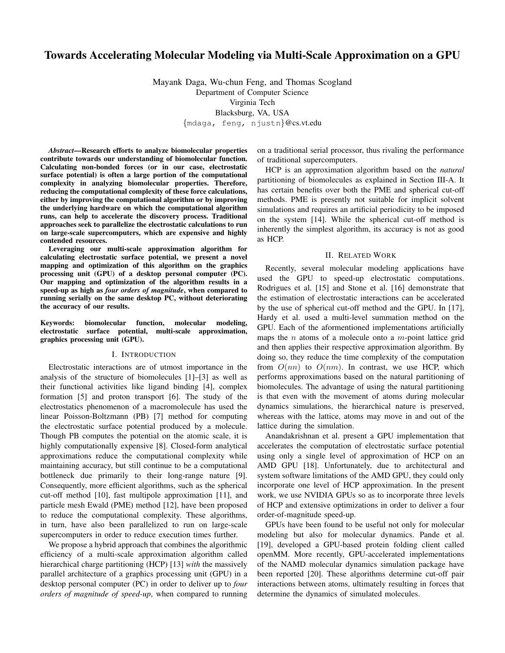# Towards Accelerating Molecular Modeling via Multi-Scale Approximation on a GPU

Mayank Daga, Wu-chun Feng, and Thomas Scogland Department of Computer Science Virginia Tech Blacksburg, VA, USA {mdaga, feng, njustn}@cs.vt.edu

*Abstract*—Research efforts to analyze biomolecular properties contribute towards our understanding of biomolecular function. Calculating non-bonded forces (or in our case, electrostatic surface potential) is often a large portion of the computational complexity in analyzing biomolecular properties. Therefore, reducing the computational complexity of these force calculations, either by improving the computational algorithm or by improving the underlying hardware on which the computational algorithm runs, can help to accelerate the discovery process. Traditional approaches seek to parallelize the electrostatic calculations to run on large-scale supercomputers, which are expensive and highly contended resources.

Leveraging our multi-scale approximation algorithm for calculating electrostatic surface potential, we present a novel mapping and optimization of this algorithm on the graphics processing unit (GPU) of a desktop personal computer (PC). Our mapping and optimization of the algorithm results in a speed-up as high as *four orders of magnitude*, when compared to running serially on the same desktop PC, without deteriorating the accuracy of our results.

Keywords: biomolecular function, molecular modeling, electrostatic surface potential, multi-scale approximation, graphics processing unit (GPU).

# I. INTRODUCTION

Electrostatic interactions are of utmost importance in the analysis of the structure of biomolecules [1]–[3] as well as their functional activities like ligand binding [4], complex formation [5] and proton transport [6]. The study of the electrostatics phenomenon of a macromolecule has used the linear Poisson-Boltzmann (PB) [7] method for computing the electrostatic surface potential produced by a molecule. Though PB computes the potential on the atomic scale, it is highly computationally expensive [8]. Closed-form analytical approximations reduce the computational complexity while maintaining accuracy, but still continue to be a computational bottleneck due primarily to their long-range nature [9]. Consequently, more efficient algorithms, such as the spherical cut-off method [10], fast multipole approximation [11], and particle mesh Ewald (PME) method [12], have been proposed to reduce the computational complexity. These algorithms, in turn, have also been parallelized to run on large-scale supercomputers in order to reduce execution times further.

We propose a hybrid approach that combines the algorithmic efficiency of a multi-scale approximation algorithm called hierarchical charge partitioning (HCP) [13] *with* the massively parallel architecture of a graphics processing unit (GPU) in a desktop personal computer (PC) in order to deliver up to *four orders of magnitude of speed-up*, when compared to running on a traditional serial processor, thus rivaling the performance of traditional supercomputers.

HCP is an approximation algorithm based on the *natural* partitioning of biomolecules as explained in Section III-A. It has certain benefits over both the PME and spherical cut-off methods. PME is presently not suitable for implicit solvent simulations and requires an artificial periodicity to be imposed on the system [14]. While the spherical cut-off method is inherently the simplest algorithm, its accuracy is not as good as HCP.

## II. RELATED WORK

Recently, several molecular modeling applications have used the GPU to speed-up electrostatic computations. Rodrigues et al. [15] and Stone et al. [16] demonstrate that the estimation of electrostatic interactions can be accelerated by the use of spherical cut-off method and the GPU. In [17], Hardy et al. used a multi-level summation method on the GPU. Each of the aformentioned implementations artificially maps the  $n$  atoms of a molecule onto a  $m$ -point lattice grid and then applies their respective approximation algorithm. By doing so, they reduce the time complexity of the computation from  $O(nn)$  to  $O(nm)$ . In contrast, we use HCP, which performs approximations based on the natural partitioning of biomolecules. The advantage of using the natural partitioning is that even with the movement of atoms during molecular dynamics simulations, the hierarchical nature is preserved, whereas with the lattice, atoms may move in and out of the lattice during the simulation.

Anandakrishnan et al. present a GPU implementation that accelerates the computation of electrostatic surface potential using only a single level of approximation of HCP on an AMD GPU [18]. Unfortunately, due to architectural and system software limitations of the AMD GPU, they could only incorporate one level of HCP approximation. In the present work, we use NVIDIA GPUs so as to incorporate three levels of HCP and extensive optimizations in order to deliver a four order-of-magnitude speed-up.

GPUs have been found to be useful not only for molecular modeling but also for molecular dynamics. Pande et al. [19], developed a GPU-based protein folding client called openMM. More recently, GPU-accelerated implementations of the NAMD molecular dynamics simulation package have been reported [20]. These algorithms determine cut-off pair interactions between atoms, ultimately resulting in forces that determine the dynamics of simulated molecules.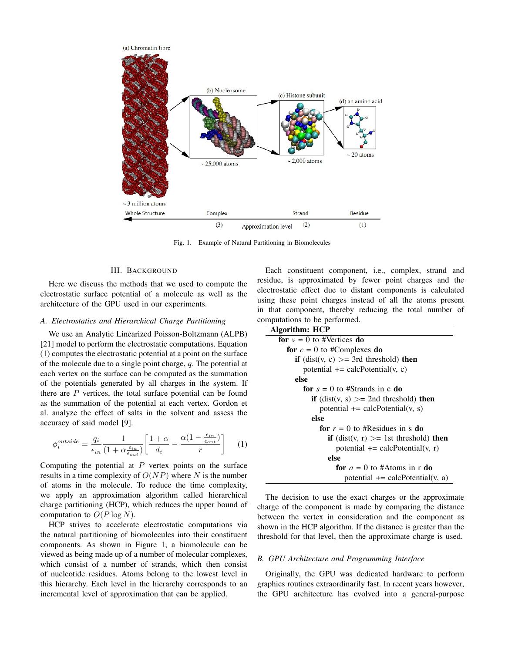

Fig. 1. Example of Natural Partitioning in Biomolecules

# III. BACKGROUND

Here we discuss the methods that we used to compute the electrostatic surface potential of a molecule as well as the architecture of the GPU used in our experiments.

## *A. Electrostatics and Hierarchical Charge Partitioning*

We use an Analytic Linearized Poisson-Boltzmann (ALPB) [21] model to perform the electrostatic computations. Equation (1) computes the electrostatic potential at a point on the surface of the molecule due to a single point charge, *q*. The potential at each vertex on the surface can be computed as the summation of the potentials generated by all charges in the system. If there are  $P$  vertices, the total surface potential can be found as the summation of the potential at each vertex. Gordon et al. analyze the effect of salts in the solvent and assess the accuracy of said model [9].

$$
\phi_i^{outside} = \frac{q_i}{\epsilon_{in}} \frac{1}{(1 + \alpha \frac{\epsilon_{in}}{\epsilon_{out}})} \left[ \frac{1 + \alpha}{d_i} - \frac{\alpha (1 - \frac{\epsilon_{in}}{\epsilon_{out}})}{r} \right] \tag{1}
$$

Computing the potential at  $P$  vertex points on the surface results in a time complexity of  $O(NP)$  where N is the number of atoms in the molecule. To reduce the time complexity, we apply an approximation algorithm called hierarchical charge partitioning (HCP), which reduces the upper bound of computation to  $O(P \log N)$ .

HCP strives to accelerate electrostatic computations via the natural partitioning of biomolecules into their constituent components. As shown in Figure 1, a biomolecule can be viewed as being made up of a number of molecular complexes, which consist of a number of strands, which then consist of nucleotide residues. Atoms belong to the lowest level in this hierarchy. Each level in the hierarchy corresponds to an incremental level of approximation that can be applied.

Each constituent component, i.e., complex, strand and residue, is approximated by fewer point charges and the electrostatic effect due to distant components is calculated using these point charges instead of all the atoms present in that component, thereby reducing the total number of computations to be performed.

| Algorithm: HCP                                         |
|--------------------------------------------------------|
| for $v = 0$ to #Vertices do                            |
| for $c = 0$ to #Complexes do                           |
| <b>if</b> (dist(v, c) $>=$ 3rd threshold) <b>then</b>  |
| potential $+=$ calcPotential(v, c)                     |
| else                                                   |
| for $s = 0$ to #Strands in c do                        |
| <b>if</b> (dist(v, s) $>=$ 2nd threshold) <b>then</b>  |
| potential $+=$ calcPotential(v, s)                     |
| else                                                   |
| for $r = 0$ to #Residues in s do                       |
| <b>if</b> (dist(v, r) $>$ = 1st threshold) <b>then</b> |
| potential $+=$ calcPotential(v, r)                     |
| else                                                   |
| for $a = 0$ to #Atoms in r do                          |
| potential $+=$ calcPotential(v, a)                     |

The decision to use the exact charges or the approximate charge of the component is made by comparing the distance between the vertex in consideration and the component as shown in the HCP algorithm. If the distance is greater than the threshold for that level, then the approximate charge is used.

#### *B. GPU Architecture and Programming Interface*

Originally, the GPU was dedicated hardware to perform graphics routines extraordinarily fast. In recent years however, the GPU architecture has evolved into a general-purpose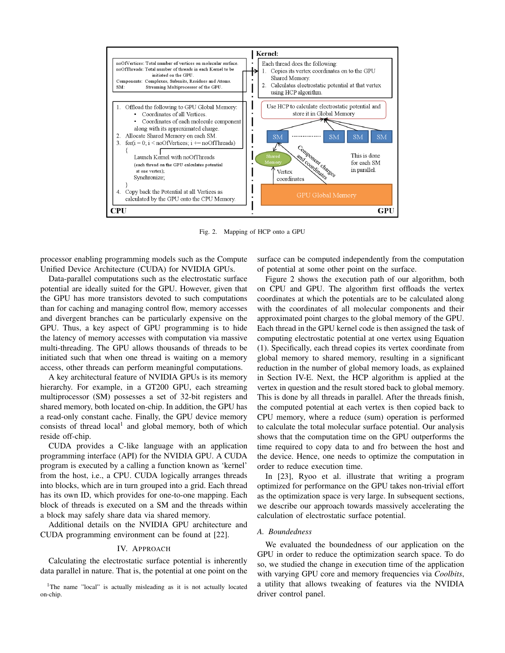

Fig. 2. Mapping of HCP onto a GPU

processor enabling programming models such as the Compute Unified Device Architecture (CUDA) for NVIDIA GPUs.

Data-parallel computations such as the electrostatic surface potential are ideally suited for the GPU. However, given that the GPU has more transistors devoted to such computations than for caching and managing control flow, memory accesses and divergent branches can be particularly expensive on the GPU. Thus, a key aspect of GPU programming is to hide the latency of memory accesses with computation via massive multi-threading. The GPU allows thousands of threads to be initiated such that when one thread is waiting on a memory access, other threads can perform meaningful computations.

A key architectural feature of NVIDIA GPUs is its memory hierarchy. For example, in a GT200 GPU, each streaming multiprocessor (SM) possesses a set of 32-bit registers and shared memory, both located on-chip. In addition, the GPU has a read-only constant cache. Finally, the GPU device memory consists of thread  $local<sup>1</sup>$  and global memory, both of which reside off-chip.

CUDA provides a C-like language with an application programming interface (API) for the NVIDIA GPU. A CUDA program is executed by a calling a function known as 'kernel' from the host, i.e., a CPU. CUDA logically arranges threads into blocks, which are in turn grouped into a grid. Each thread has its own ID, which provides for one-to-one mapping. Each block of threads is executed on a SM and the threads within a block may safely share data via shared memory.

Additional details on the NVIDIA GPU architecture and CUDA programming environment can be found at [22].

# IV. APPROACH

Calculating the electrostatic surface potential is inherently data parallel in nature. That is, the potential at one point on the

<sup>1</sup>The name "local" is actually misleading as it is not actually located on-chip.

surface can be computed independently from the computation of potential at some other point on the surface.

Figure 2 shows the execution path of our algorithm, both on CPU and GPU. The algorithm first offloads the vertex coordinates at which the potentials are to be calculated along with the coordinates of all molecular components and their approximated point charges to the global memory of the GPU. Each thread in the GPU kernel code is then assigned the task of computing electrostatic potential at one vertex using Equation (1). Specifically, each thread copies its vertex coordinate from global memory to shared memory, resulting in a significant reduction in the number of global memory loads, as explained in Section IV-E. Next, the HCP algorithm is applied at the vertex in question and the result stored back to global memory. This is done by all threads in parallel. After the threads finish, the computed potential at each vertex is then copied back to CPU memory, where a reduce (sum) operation is performed to calculate the total molecular surface potential. Our analysis shows that the computation time on the GPU outperforms the time required to copy data to and fro between the host and the device. Hence, one needs to optimize the computation in order to reduce execution time.

In [23], Ryoo et al. illustrate that writing a program optimized for performance on the GPU takes non-trivial effort as the optimization space is very large. In subsequent sections, we describe our approach towards massively accelerating the calculation of electrostatic surface potential.

# *A. Boundedness*

We evaluated the boundedness of our application on the GPU in order to reduce the optimization search space. To do so, we studied the change in execution time of the application with varying GPU core and memory frequencies via *Coolbits*, a utility that allows tweaking of features via the NVIDIA driver control panel.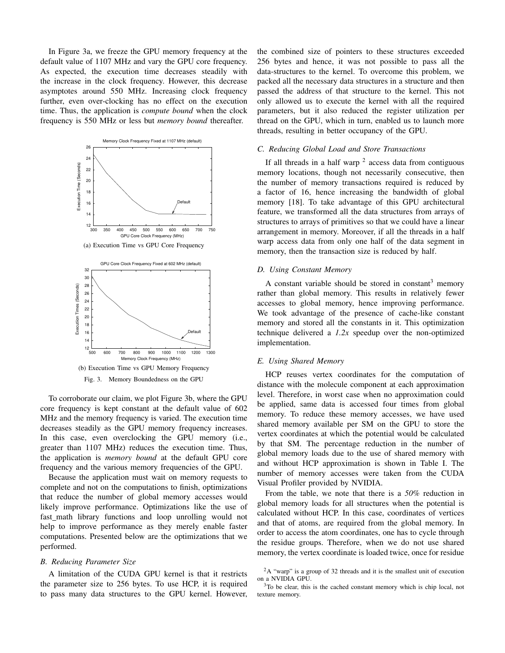In Figure 3a, we freeze the GPU memory frequency at the default value of 1107 MHz and vary the GPU core frequency. As expected, the execution time decreases steadily with the increase in the clock frequency. However, this decrease asymptotes around 550 MHz. Increasing clock frequency further, even over-clocking has no effect on the execution time. Thus, the application is *compute bound* when the clock frequency is 550 MHz or less but *memory bound* thereafter.



To corroborate our claim, we plot Figure 3b, where the GPU core frequency is kept constant at the default value of 602 MHz and the memory frequency is varied. The execution time decreases steadily as the GPU memory frequency increases. In this case, even overclocking the GPU memory (i.e., greater than 1107 MHz) reduces the execution time. Thus, the application is *memory bound* at the default GPU core frequency and the various memory frequencies of the GPU.

Because the application must wait on memory requests to complete and not on the computations to finish, optimizations that reduce the number of global memory accesses would likely improve performance. Optimizations like the use of fast\_math library functions and loop unrolling would not help to improve performance as they merely enable faster computations. Presented below are the optimizations that we performed.

## *B. Reducing Parameter Size*

A limitation of the CUDA GPU kernel is that it restricts the parameter size to 256 bytes. To use HCP, it is required to pass many data structures to the GPU kernel. However, the combined size of pointers to these structures exceeded 256 bytes and hence, it was not possible to pass all the data-structures to the kernel. To overcome this problem, we packed all the necessary data structures in a structure and then passed the address of that structure to the kernel. This not only allowed us to execute the kernel with all the required parameters, but it also reduced the register utilization per thread on the GPU, which in turn, enabled us to launch more threads, resulting in better occupancy of the GPU.

# *C. Reducing Global Load and Store Transactions*

If all threads in a half warp  $2$  access data from contiguous memory locations, though not necessarily consecutive, then the number of memory transactions required is reduced by a factor of 16, hence increasing the bandwidth of global memory [18]. To take advantage of this GPU architectural feature, we transformed all the data structures from arrays of structures to arrays of primitives so that we could have a linear arrangement in memory. Moreover, if all the threads in a half warp access data from only one half of the data segment in memory, then the transaction size is reduced by half.

## *D. Using Constant Memory*

A constant variable should be stored in constant<sup>3</sup> memory rather than global memory. This results in relatively fewer accesses to global memory, hence improving performance. We took advantage of the presence of cache-like constant memory and stored all the constants in it. This optimization technique delivered a *1.2x* speedup over the non-optimized implementation.

### *E. Using Shared Memory*

HCP reuses vertex coordinates for the computation of distance with the molecule component at each approximation level. Therefore, in worst case when no approximation could be applied, same data is accessed four times from global memory. To reduce these memory accesses, we have used shared memory available per SM on the GPU to store the vertex coordinates at which the potential would be calculated by that SM. The percentage reduction in the number of global memory loads due to the use of shared memory with and without HCP approximation is shown in Table I. The number of memory accesses were taken from the CUDA Visual Profiler provided by NVIDIA.

From the table, we note that there is a *50%* reduction in global memory loads for all structures when the potential is calculated without HCP. In this case, coordinates of vertices and that of atoms, are required from the global memory. In order to access the atom coordinates, one has to cycle through the residue groups. Therefore, when we do not use shared memory, the vertex coordinate is loaded twice, once for residue

<sup>2</sup>A "warp" is a group of 32 threads and it is the smallest unit of execution on a NVIDIA GPU.

<sup>3</sup>To be clear, this is the cached constant memory which is chip local, not texture memory.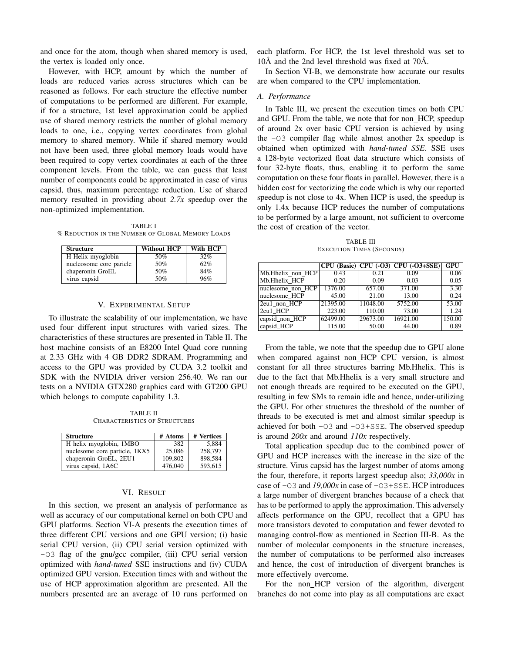and once for the atom, though when shared memory is used, the vertex is loaded only once.

However, with HCP, amount by which the number of loads are reduced varies across structures which can be reasoned as follows. For each structure the effective number of computations to be performed are different. For example, if for a structure, 1st level approximation could be applied use of shared memory restricts the number of global memory loads to one, i.e., copying vertex coordinates from global memory to shared memory. While if shared memory would not have been used, three global memory loads would have been required to copy vertex coordinates at each of the three component levels. From the table, we can guess that least number of components could be approximated in case of virus capsid, thus, maximum percentage reduction. Use of shared memory resulted in providing about *2.7x* speedup over the non-optimized implementation.

TABLE I % REDUCTION IN THE NUMBER OF GLOBAL MEMORY LOADS

| <b>Structure</b>        | <b>Without HCP</b> | With HCP |
|-------------------------|--------------------|----------|
| H Helix myoglobin       | 50%                | 32%      |
| nucleosome core paricle | 50%                | 62%      |
| chaperonin GroEL        | 50%                | 84%      |
| virus capsid            | 50%                | 96%      |

# V. EXPERIMENTAL SETUP

To illustrate the scalability of our implementation, we have used four different input structures with varied sizes. The characteristics of these structures are presented in Table II. The host machine consists of an E8200 Intel Quad core running at 2.33 GHz with 4 GB DDR2 SDRAM. Programming and access to the GPU was provided by CUDA 3.2 toolkit and SDK with the NVIDIA driver version 256.40. We ran our tests on a NVIDIA GTX280 graphics card with GT200 GPU which belongs to compute capability 1.3.

TABLE II CHARACTERISTICS OF STRUCTURES

| <b>Structure</b>              | # Atoms | # Vertices |
|-------------------------------|---------|------------|
| H helix myoglobin, 1MBO       | 382     | 5,884      |
| nuclesome core particle, 1KX5 | 25,086  | 258,797    |
| chaperonin GroEL, 2EU1        | 109.802 | 898.584    |
| virus capsid, 1A6C            | 476,040 | 593.615    |

#### VI. RESULT

In this section, we present an analysis of performance as well as accuracy of our computational kernel on both CPU and GPU platforms. Section VI-A presents the execution times of three different CPU versions and one GPU version; (i) basic serial CPU version, (ii) CPU serial version optimized with -O3 flag of the gnu/gcc compiler, (iii) CPU serial version optimized with *hand-tuned* SSE instructions and (iv) CUDA optimized GPU version. Execution times with and without the use of HCP approximation algorithm are presented. All the numbers presented are an average of 10 runs performed on each platform. For HCP, the 1st level threshold was set to  $10\text{\AA}$  and the 2nd level threshold was fixed at 70 $\text{\AA}$ .

In Section VI-B, we demonstrate how accurate our results are when compared to the CPU implementation.

### *A. Performance*

In Table III, we present the execution times on both CPU and GPU. From the table, we note that for non HCP, speedup of around 2x over basic CPU version is achieved by using the -O3 compiler flag while almost another 2x speedup is obtained when optimized with *hand-tuned SSE*. SSE uses a 128-byte vectorized float data structure which consists of four 32-byte floats, thus, enabling it to perform the same computation on these four floats in parallel. However, there is a hidden cost for vectorizing the code which is why our reported speedup is not close to 4x. When HCP is used, the speedup is only 1.4x because HCP reduces the number of computations to be performed by a large amount, not sufficient to overcome the cost of creation of the vector.

TABLE III EXECUTION TIMES (SECONDS)

|                   |          |          | $CPU (Basic)   CPU (-03)   CPU (-03+SSE)$ | GPU    |
|-------------------|----------|----------|-------------------------------------------|--------|
| Mb.Hhelix non HCP | 0.43     | 0.21     | 0.09                                      | 0.06   |
| Mb.Hhelix HCP     | 0.20     | 0.09     | 0.03                                      | 0.05   |
| nuclesome non HCP | 1376.00  | 657.00   | 371.00                                    | 3.30   |
| nuclesome HCP     | 45.00    | 21.00    | 13.00                                     | 0.24   |
| 2eu1 non HCP      | 21395.00 | 11048.00 | 5752.00                                   | 53.00  |
| 2eu1 HCP          | 223.00   | 110.00   | 73.00                                     | 1.24   |
| capsid_non_HCP    | 62499.00 | 29673.00 | 16921.00                                  | 150.00 |
| capsid HCP        | 115.00   | 50.00    | 44.00                                     | 0.89   |

From the table, we note that the speedup due to GPU alone when compared against non HCP CPU version, is almost constant for all three structures barring Mb.Hhelix. This is due to the fact that Mb.Hhelix is a very small structure and not enough threads are required to be executed on the GPU, resulting in few SMs to remain idle and hence, under-utilizing the GPU. For other structures the threshold of the number of threads to be executed is met and almost similar speedup is achieved for both -O3 and -O3+SSE. The observed speedup is around *200x* and around *110x* respectively.

Total application speedup due to the combined power of GPU and HCP increases with the increase in the size of the structure. Virus capsid has the largest number of atoms among the four, therefore, it reports largest speedup also; *33,000x* in case of -O3 and *19,000x* in case of -O3+SSE. HCP introduces a large number of divergent branches because of a check that has to be performed to apply the approximation. This adversely affects performance on the GPU, recollect that a GPU has more transistors devoted to computation and fewer devoted to managing control-flow as mentioned in Section III-B. As the number of molecular components in the structure increases, the number of computations to be performed also increases and hence, the cost of introduction of divergent branches is more effectively overcome.

For the non\_HCP version of the algorithm, divergent branches do not come into play as all computations are exact